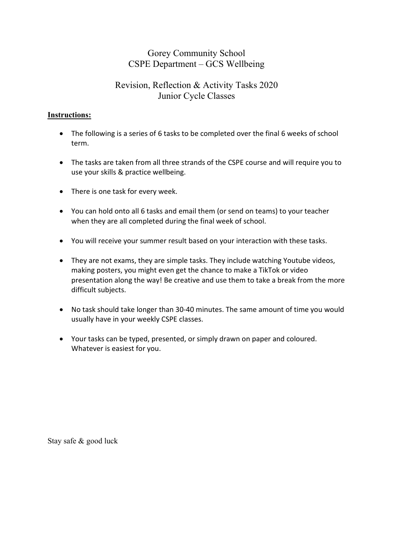#### Gorey Community School CSPE Department – GCS Wellbeing

#### Revision, Reflection & Activity Tasks 2020 Junior Cycle Classes

#### **Instructions:**

- The following is a series of 6 tasks to be completed over the final 6 weeks of school term.
- The tasks are taken from all three strands of the CSPE course and will require you to use your skills & practice wellbeing.
- There is one task for every week.
- You can hold onto all 6 tasks and email them (or send on teams) to your teacher when they are all completed during the final week of school.
- You will receive your summer result based on your interaction with these tasks.
- They are not exams, they are simple tasks. They include watching Youtube videos, making posters, you might even get the chance to make a TikTok or video presentation along the way! Be creative and use them to take a break from the more difficult subjects.
- No task should take longer than 30-40 minutes. The same amount of time you would usually have in your weekly CSPE classes.
- Your tasks can be typed, presented, or simply drawn on paper and coloured. Whatever is easiest for you.

Stay safe & good luck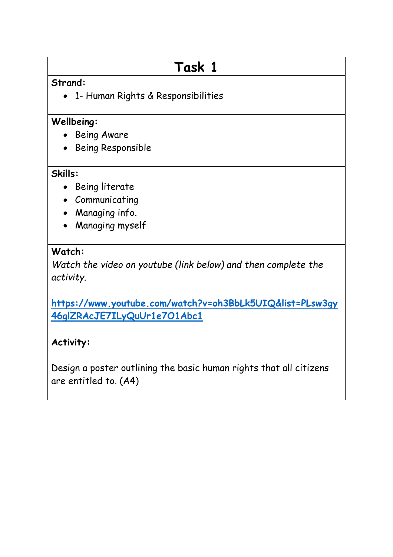#### **Strand:**

• 1- Human Rights & Responsibilities

#### **Wellbeing:**

- Being Aware
- Being Responsible

#### **Skills:**

- Being literate
- Communicating
- Managing info.
- Managing myself

#### **Watch:**

*Watch the video on youtube (link below) and then complete the activity.*

**[https://www.youtube.com/watch?v=oh3BbLk5UIQ&list=PLsw3gy](https://www.youtube.com/watch?v=oh3BbLk5UIQ&list=PLsw3gy46glZRAcJE7ILyQuUr1e7O1Abc1) [46glZRAcJE7ILyQuUr1e7O1Abc1](https://www.youtube.com/watch?v=oh3BbLk5UIQ&list=PLsw3gy46glZRAcJE7ILyQuUr1e7O1Abc1)**

#### **Activity:**

Design a poster outlining the basic human rights that all citizens are entitled to. (A4)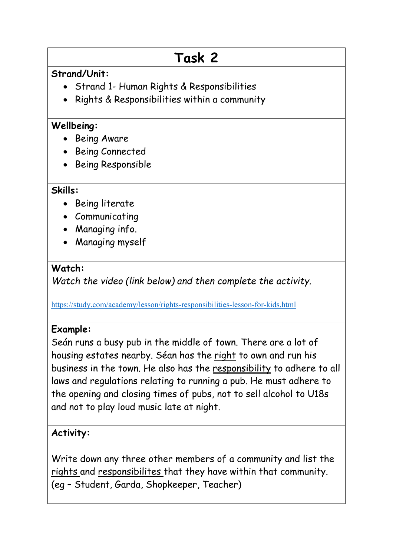## **Strand/Unit:**

- Strand 1- Human Rights & Responsibilities
- Rights & Responsibilities within a community

### **Wellbeing:**

- Being Aware
- Being Connected
- Being Responsible

#### **Skills:**

- Being literate
- Communicating
- Managing info.
- Managing myself

#### **Watch:**

*Watch the video (link below) and then complete the activity.*

<https://study.com/academy/lesson/rights-responsibilities-lesson-for-kids.html>

### **Example:**

Seán runs a busy pub in the middle of town. There are a lot of housing estates nearby. Séan has the right to own and run his business in the town. He also has the responsibility to adhere to all laws and regulations relating to running a pub. He must adhere to the opening and closing times of pubs, not to sell alcohol to U18s and not to play loud music late at night.

### **Activity:**

Write down any three other members of a community and list the rights and responsibilites that they have within that community. (eg – Student, Garda, Shopkeeper, Teacher)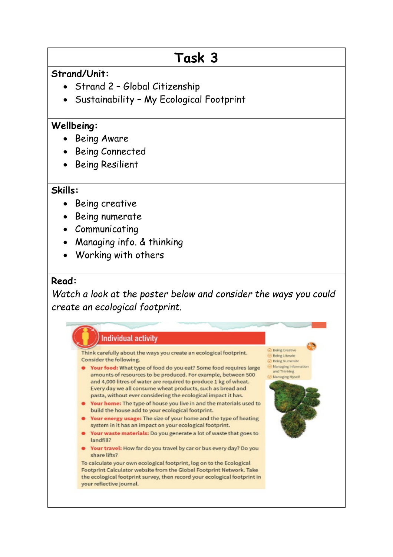### **Strand/Unit:**

- Strand 2 Global Citizenship
- Sustainability My Ecological Footprint

### **Wellbeing:**

- Being Aware
- Being Connected
- Being Resilient

#### **Skills:**

- Being creative
- Being numerate
- Communicating
- Managing info. & thinking
- Working with others

#### **Read:**

*Watch a look at the poster below and consider the ways you could create an ecological footprint.*

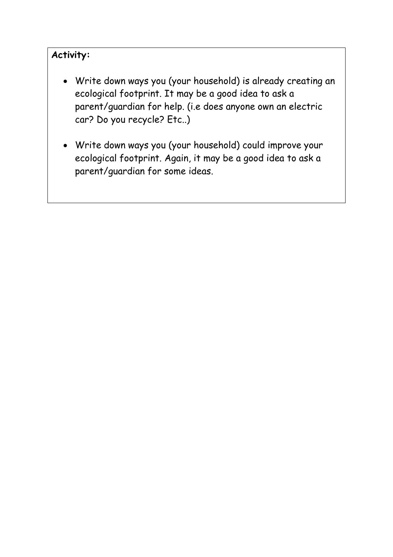### **Activity:**

- Write down ways you (your household) is already creating an ecological footprint. It may be a good idea to ask a parent/guardian for help. (i.e does anyone own an electric car? Do you recycle? Etc..)
- Write down ways you (your household) could improve your ecological footprint. Again, it may be a good idea to ask a parent/guardian for some ideas.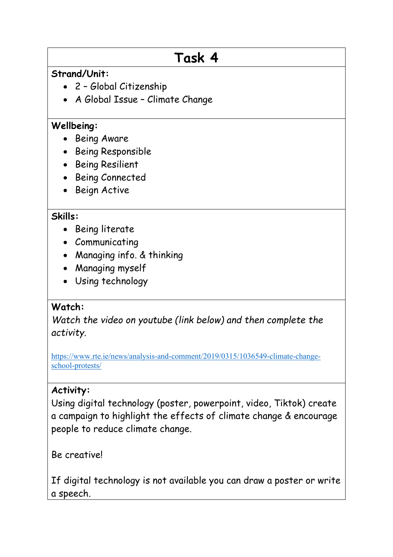### **Strand/Unit:**

- 2 Global Citizenship
- A Global Issue Climate Change

### **Wellbeing:**

- Being Aware
- Being Responsible
- Being Resilient
- Being Connected
- Beign Active

#### **Skills:**

- Being literate
- Communicating
- Managing info. & thinking
- Managing myself
- Using technology

## **Watch:**

*Watch the video on youtube (link below) and then complete the activity.*

[https://www.rte.ie/news/analysis-and-comment/2019/0315/1036549-climate-change](https://www.rte.ie/news/analysis-and-comment/2019/0315/1036549-climate-change-school-protests/)[school-protests/](https://www.rte.ie/news/analysis-and-comment/2019/0315/1036549-climate-change-school-protests/)

### **Activity:**

Using digital technology (poster, powerpoint, video, Tiktok) create a campaign to highlight the effects of climate change & encourage people to reduce climate change.

Be creative!

If digital technology is not available you can draw a poster or write a speech.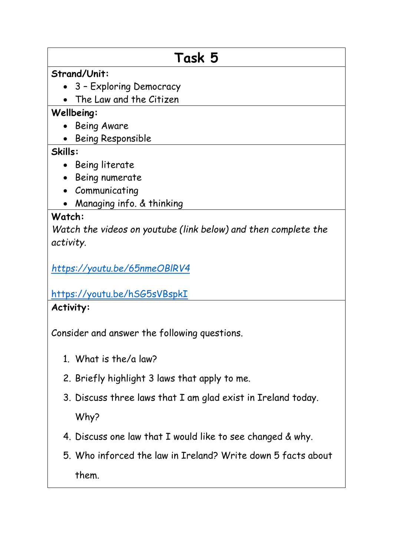### **Strand/Unit:**

- 3 Exploring Democracy
- The Law and the Citizen

### **Wellbeing:**

- Being Aware
- Being Responsible

### **Skills:**

- Being literate
- Being numerate
- Communicating
- Managing info. & thinking

## **Watch:**

*Watch the videos on youtube (link below) and then complete the activity.*

*<https://youtu.be/65nmeOBlRV4>*

#### <https://youtu.be/hSG5sVBspkI> **Activity:**

Consider and answer the following questions.

- 1. What is the/a law?
- 2. Briefly highlight 3 laws that apply to me.
- 3. Discuss three laws that I am glad exist in Ireland today. Why?
- 4. Discuss one law that I would like to see changed & why.
- 5. Who inforced the law in Ireland? Write down 5 facts about them.